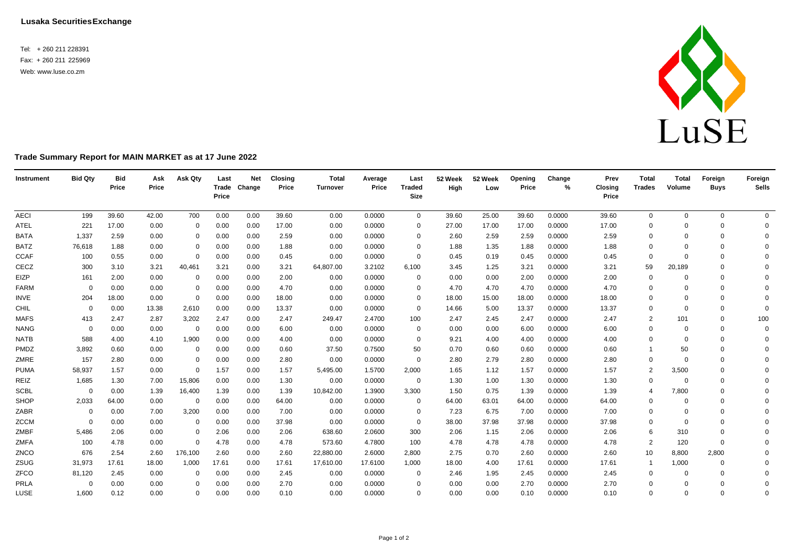Tel: + 260 211 228391 Fax: + 260 211 225969 Web[: www.luse.co.zm](http://www.luse.co.zm/)



## **Trade Summary Report for MAIN MARKET as at 17 June 2022**

| Instrument  | <b>Bid Qty</b> | <b>Bid</b><br>Price | Ask<br>Price | Ask Qty      | Last<br>Price | <b>Net</b><br>Trade Change | <b>Closing</b><br>Price | <b>Total</b><br><b>Turnover</b> | Average<br>Price | Last<br><b>Traded</b><br>Size | 52 Week<br>High | 52 Week<br>Low | <b>Opening</b><br>Price | Change<br>$\frac{9}{6}$ | Prev<br>Closing<br>Price | <b>Total</b><br><b>Trades</b> | <b>Total</b><br>Volume | Foreign<br><b>Buys</b> | Foreign<br><b>Sells</b> |
|-------------|----------------|---------------------|--------------|--------------|---------------|----------------------------|-------------------------|---------------------------------|------------------|-------------------------------|-----------------|----------------|-------------------------|-------------------------|--------------------------|-------------------------------|------------------------|------------------------|-------------------------|
| <b>AECI</b> | 199            | 39.60               | 42.00        | 700          | 0.00          | 0.00                       | 39.60                   | 0.00                            | 0.0000           | $\mathbf{0}$                  | 39.60           | 25.00          | 39.60                   | 0.0000                  | 39.60                    | $\overline{0}$                | $\mathbf{0}$           | $\mathbf 0$            | $\Omega$                |
| <b>ATEL</b> | 221            | 17.00               | 0.00         | 0            | 0.00          | 0.00                       | 17.00                   | 0.00                            | 0.0000           | $\Omega$                      | 27.00           | 17.00          | 17.00                   | 0.0000                  | 17.00                    | 0                             | $\Omega$               | $\mathbf 0$            | $\mathbf 0$             |
| <b>BATA</b> | 1,337          | 2.59                | 0.00         | 0            | 0.00          | 0.00                       | 2.59                    | 0.00                            | 0.0000           | $\Omega$                      | 2.60            | 2.59           | 2.59                    | 0.0000                  | 2.59                     | 0                             | $\Omega$               | $\mathbf 0$            | $\Omega$                |
| <b>BATZ</b> | 76,618         | 1.88                | 0.00         | 0            | 0.00          | 0.00                       | 1.88                    | 0.00                            | 0.0000           | $\Omega$                      | 1.88            | 1.35           | 1.88                    | 0.0000                  | 1.88                     | 0                             | $\Omega$               | $\Omega$               | $\Omega$                |
| <b>CCAF</b> | 100            | 0.55                | 0.00         | $\mathbf 0$  | 0.00          | 0.00                       | 0.45                    | 0.00                            | 0.0000           | $\mathbf 0$                   | 0.45            | 0.19           | 0.45                    | 0.0000                  | 0.45                     | $\mathbf{0}$                  | $\Omega$               | $\Omega$               | $\Omega$                |
| CECZ        | 300            | 3.10                | 3.21         | 40,461       | 3.21          | 0.00                       | 3.21                    | 64,807.00                       | 3.2102           | 6,100                         | 3.45            | 1.25           | 3.21                    | 0.0000                  | 3.21                     | 59                            | 20,189                 | $\Omega$               | $\Omega$                |
| EIZP        | 161            | 2.00                | 0.00         | 0            | 0.00          | 0.00                       | 2.00                    | 0.00                            | 0.0000           | 0                             | 0.00            | 0.00           | 2.00                    | 0.0000                  | 2.00                     | $\mathbf 0$                   | $\Omega$               | $\Omega$               | $\Omega$                |
| FARM        | $\Omega$       | 0.00                | 0.00         | 0            | 0.00          | 0.00                       | 4.70                    | 0.00                            | 0.0000           | $\Omega$                      | 4.70            | 4.70           | 4.70                    | 0.0000                  | 4.70                     | 0                             | $\Omega$               | $\Omega$               | $\Omega$                |
| INVE        | 204            | 18.00               | 0.00         | $\mathbf{0}$ | 0.00          | 0.00                       | 18.00                   | 0.00                            | 0.0000           | $\Omega$                      | 18.00           | 15.00          | 18.00                   | 0.0000                  | 18.00                    | 0                             | $\Omega$               | $\Omega$               | $\Omega$                |
| CHIL        | $\mathbf 0$    | 0.00                | 13.38        | 2,610        | 0.00          | 0.00                       | 13.37                   | 0.00                            | 0.0000           | $\Omega$                      | 14.66           | 5.00           | 13.37                   | 0.0000                  | 13.37                    | $\Omega$                      | $\Omega$               | $\mathbf 0$            | $\Omega$                |
| <b>MAFS</b> | 413            | 2.47                | 2.87         | 3,202        | 2.47          | 0.00                       | 2.47                    | 249.47                          | 2.4700           | 100                           | 2.47            | 2.45           | 2.47                    | 0.0000                  | 2.47                     | 2                             | 101                    | $\mathbf 0$            | 100                     |
| <b>NANG</b> | $\mathbf 0$    | 0.00                | 0.00         | 0            | 0.00          | 0.00                       | 6.00                    | 0.00                            | 0.0000           | 0                             | 0.00            | 0.00           | 6.00                    | 0.0000                  | 6.00                     | 0                             | $\mathbf 0$            | $\mathbf 0$            | $\mathbf 0$             |
| <b>NATB</b> | 588            | 4.00                | 4.10         | 1,900        | 0.00          | 0.00                       | 4.00                    | 0.00                            | 0.0000           | $\Omega$                      | 9.21            | 4.00           | 4.00                    | 0.0000                  | 4.00                     | 0                             | $\Omega$               | $\Omega$               | $\Omega$                |
| PMDZ        | 3,892          | 0.60                | 0.00         | 0            | 0.00          | 0.00                       | 0.60                    | 37.50                           | 0.7500           | 50                            | 0.70            | 0.60           | 0.60                    | 0.0000                  | 0.60                     |                               | 50                     | 0                      | $\Omega$                |
| ZMRE        | 157            | 2.80                | 0.00         | $\mathbf 0$  | 0.00          | 0.00                       | 2.80                    | 0.00                            | 0.0000           | $\Omega$                      | 2.80            | 2.79           | 2.80                    | 0.0000                  | 2.80                     | $\Omega$                      | $\Omega$               | $\Omega$               | $\Omega$                |
| <b>PUMA</b> | 58,937         | 1.57                | 0.00         | $\mathbf{0}$ | 1.57          | 0.00                       | 1.57                    | 5,495.00                        | 1.5700           | 2,000                         | 1.65            | 1.12           | 1.57                    | 0.0000                  | 1.57                     | $\overline{2}$                | 3,500                  | $\Omega$               | $\Omega$                |
| REIZ        | 1,685          | 1.30                | 7.00         | 15,806       | 0.00          | 0.00                       | 1.30                    | 0.00                            | 0.0000           | $\mathbf 0$                   | 1.30            | 1.00           | 1.30                    | 0.0000                  | 1.30                     | $\mathbf 0$                   | $\mathbf 0$            | $\mathbf 0$            | $\Omega$                |
| <b>SCBL</b> | $\Omega$       | 0.00                | 1.39         | 16,400       | 1.39          | 0.00                       | 1.39                    | 10,842.00                       | 1.3900           | 3,300                         | 1.50            | 0.75           | 1.39                    | 0.0000                  | 1.39                     | $\overline{4}$                | 7,800                  | $\Omega$               | $\Omega$                |
| SHOP        | 2,033          | 64.00               | 0.00         | $\mathbf 0$  | 0.00          | 0.00                       | 64.00                   | 0.00                            | 0.0000           | 0                             | 64.00           | 63.01          | 64.00                   | 0.0000                  | 64.00                    | 0                             | $\Omega$               | $\Omega$               | $\Omega$                |
| ZABR        | 0              | 0.00                | 7.00         | 3,200        | 0.00          | 0.00                       | 7.00                    | 0.00                            | 0.0000           | 0                             | 7.23            | 6.75           | 7.00                    | 0.0000                  | 7.00                     | 0                             | 0                      | $\Omega$               | $\Omega$                |
| <b>ZCCM</b> | $\Omega$       | 0.00                | 0.00         | 0            | 0.00          | 0.00                       | 37.98                   | 0.00                            | 0.0000           | $\Omega$                      | 38.00           | 37.98          | 37.98                   | 0.0000                  | 37.98                    | 0                             | $\Omega$               | $\Omega$               | $\Omega$                |
| ZMBF        | 5,486          | 2.06                | 0.00         | 0            | 2.06          | 0.00                       | 2.06                    | 638.60                          | 2.0600           | 300                           | 2.06            | 1.15           | 2.06                    | 0.0000                  | 2.06                     | 6                             | 310                    | $\mathbf 0$            | $\Omega$                |
| ZMFA        | 100            | 4.78                | 0.00         | $\mathbf{0}$ | 4.78          | 0.00                       | 4.78                    | 573.60                          | 4.7800           | 100                           | 4.78            | 4.78           | 4.78                    | 0.0000                  | 4.78                     | $\overline{2}$                | 120                    | $\Omega$               | $\Omega$                |
| ZNCO        | 676            | 2.54                | 2.60         | 176,100      | 2.60          | 0.00                       | 2.60                    | 22,880.00                       | 2.6000           | 2,800                         | 2.75            | 0.70           | 2.60                    | 0.0000                  | 2.60                     | 10                            | 8,800                  | 2,800                  | $\Omega$                |
| ZSUG        | 31,973         | 17.61               | 18.00        | 1,000        | 17.61         | 0.00                       | 17.61                   | 17,610.00                       | 17.6100          | 1,000                         | 18.00           | 4.00           | 17.61                   | 0.0000                  | 17.61                    | $\overline{1}$                | 1,000                  | 0                      | $\Omega$                |
| ZFCO        | 81,120         | 2.45                | 0.00         | 0            | 0.00          | 0.00                       | 2.45                    | 0.00                            | 0.0000           | 0                             | 2.46            | 1.95           | 2.45                    | 0.0000                  | 2.45                     | 0                             | $\Omega$               | $\Omega$               | $\Omega$                |
| PRLA        | $\Omega$       | 0.00                | 0.00         | $\Omega$     | 0.00          | 0.00                       | 2.70                    | 0.00                            | 0.0000           | $\Omega$                      | 0.00            | 0.00           | 2.70                    | 0.0000                  | 2.70                     | 0                             | $\mathbf 0$            | $\Omega$               | $\Omega$                |
| LUSE        | 1,600          | 0.12                | 0.00         | $\Omega$     | 0.00          | 0.00                       | 0.10                    | 0.00                            | 0.0000           | $\Omega$                      | 0.00            | 0.00           | 0.10                    | 0.0000                  | 0.10                     | $\Omega$                      | $\Omega$               | $\Omega$               | $\Omega$                |